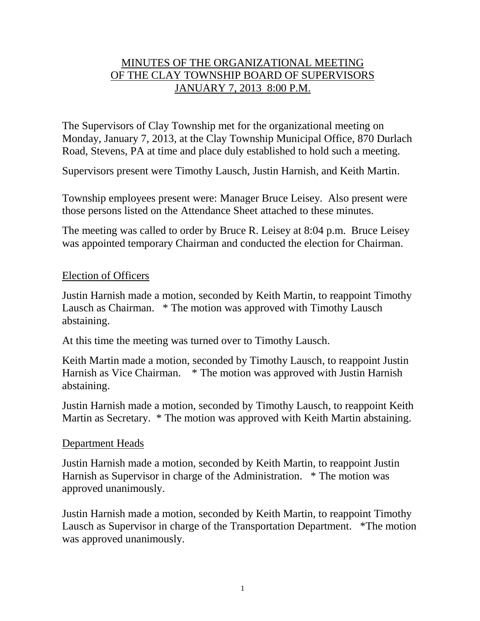# MINUTES OF THE ORGANIZATIONAL MEETING OF THE CLAY TOWNSHIP BOARD OF SUPERVISORS JANUARY 7, 2013 8:00 P.M.

The Supervisors of Clay Township met for the organizational meeting on Monday, January 7, 2013, at the Clay Township Municipal Office, 870 Durlach Road, Stevens, PA at time and place duly established to hold such a meeting.

Supervisors present were Timothy Lausch, Justin Harnish, and Keith Martin.

Township employees present were: Manager Bruce Leisey. Also present were those persons listed on the Attendance Sheet attached to these minutes.

The meeting was called to order by Bruce R. Leisey at 8:04 p.m. Bruce Leisey was appointed temporary Chairman and conducted the election for Chairman.

#### Election of Officers

Justin Harnish made a motion, seconded by Keith Martin, to reappoint Timothy Lausch as Chairman. \* The motion was approved with Timothy Lausch abstaining.

At this time the meeting was turned over to Timothy Lausch.

Keith Martin made a motion, seconded by Timothy Lausch, to reappoint Justin Harnish as Vice Chairman. \* The motion was approved with Justin Harnish abstaining.

Justin Harnish made a motion, seconded by Timothy Lausch, to reappoint Keith Martin as Secretary. \* The motion was approved with Keith Martin abstaining.

## Department Heads

Justin Harnish made a motion, seconded by Keith Martin, to reappoint Justin Harnish as Supervisor in charge of the Administration. \* The motion was approved unanimously.

Justin Harnish made a motion, seconded by Keith Martin, to reappoint Timothy Lausch as Supervisor in charge of the Transportation Department. \*The motion was approved unanimously.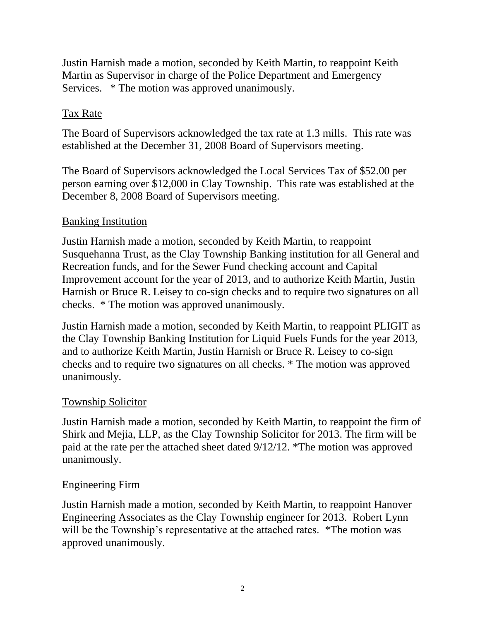Justin Harnish made a motion, seconded by Keith Martin, to reappoint Keith Martin as Supervisor in charge of the Police Department and Emergency Services. \* The motion was approved unanimously.

# Tax Rate

The Board of Supervisors acknowledged the tax rate at 1.3 mills. This rate was established at the December 31, 2008 Board of Supervisors meeting.

The Board of Supervisors acknowledged the Local Services Tax of \$52.00 per person earning over \$12,000 in Clay Township. This rate was established at the December 8, 2008 Board of Supervisors meeting.

## Banking Institution

Justin Harnish made a motion, seconded by Keith Martin, to reappoint Susquehanna Trust, as the Clay Township Banking institution for all General and Recreation funds, and for the Sewer Fund checking account and Capital Improvement account for the year of 2013, and to authorize Keith Martin, Justin Harnish or Bruce R. Leisey to co-sign checks and to require two signatures on all checks. \* The motion was approved unanimously.

Justin Harnish made a motion, seconded by Keith Martin, to reappoint PLIGIT as the Clay Township Banking Institution for Liquid Fuels Funds for the year 2013, and to authorize Keith Martin, Justin Harnish or Bruce R. Leisey to co-sign checks and to require two signatures on all checks. \* The motion was approved unanimously.

## Township Solicitor

Justin Harnish made a motion, seconded by Keith Martin, to reappoint the firm of Shirk and Mejia, LLP, as the Clay Township Solicitor for 2013. The firm will be paid at the rate per the attached sheet dated 9/12/12. \*The motion was approved unanimously.

## Engineering Firm

Justin Harnish made a motion, seconded by Keith Martin, to reappoint Hanover Engineering Associates as the Clay Township engineer for 2013. Robert Lynn will be the Township's representative at the attached rates. \*The motion was approved unanimously.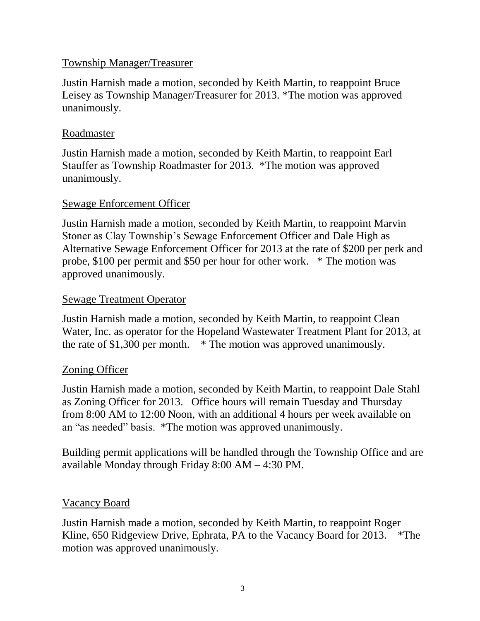## Township Manager/Treasurer

Justin Harnish made a motion, seconded by Keith Martin, to reappoint Bruce Leisey as Township Manager/Treasurer for 2013. \*The motion was approved unanimously.

### Roadmaster

Justin Harnish made a motion, seconded by Keith Martin, to reappoint Earl Stauffer as Township Roadmaster for 2013. \*The motion was approved unanimously.

## Sewage Enforcement Officer

Justin Harnish made a motion, seconded by Keith Martin, to reappoint Marvin Stoner as Clay Township's Sewage Enforcement Officer and Dale High as Alternative Sewage Enforcement Officer for 2013 at the rate of \$200 per perk and probe, \$100 per permit and \$50 per hour for other work. \* The motion was approved unanimously.

## Sewage Treatment Operator

Justin Harnish made a motion, seconded by Keith Martin, to reappoint Clean Water, Inc. as operator for the Hopeland Wastewater Treatment Plant for 2013, at the rate of \$1,300 per month. \* The motion was approved unanimously.

# Zoning Officer

Justin Harnish made a motion, seconded by Keith Martin, to reappoint Dale Stahl as Zoning Officer for 2013. Office hours will remain Tuesday and Thursday from 8:00 AM to 12:00 Noon, with an additional 4 hours per week available on an "as needed" basis. \*The motion was approved unanimously.

Building permit applications will be handled through the Township Office and are available Monday through Friday 8:00 AM – 4:30 PM.

## Vacancy Board

Justin Harnish made a motion, seconded by Keith Martin, to reappoint Roger Kline, 650 Ridgeview Drive, Ephrata, PA to the Vacancy Board for 2013. \*The motion was approved unanimously.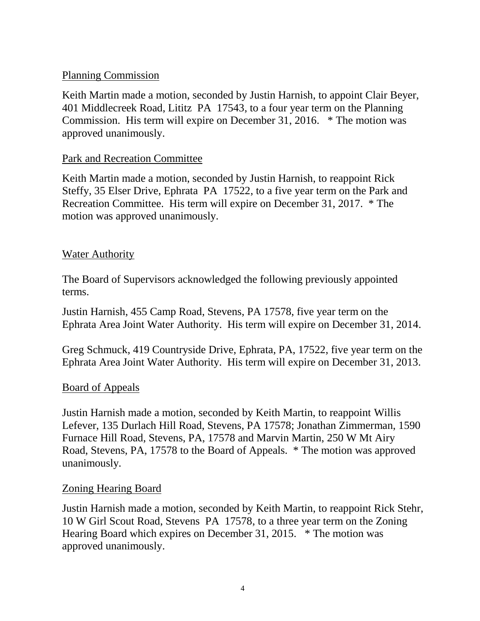## Planning Commission

Keith Martin made a motion, seconded by Justin Harnish, to appoint Clair Beyer, 401 Middlecreek Road, Lititz PA 17543, to a four year term on the Planning Commission. His term will expire on December 31, 2016. \* The motion was approved unanimously.

# Park and Recreation Committee

Keith Martin made a motion, seconded by Justin Harnish, to reappoint Rick Steffy, 35 Elser Drive, Ephrata PA 17522, to a five year term on the Park and Recreation Committee. His term will expire on December 31, 2017. \* The motion was approved unanimously.

## Water Authority

The Board of Supervisors acknowledged the following previously appointed terms.

Justin Harnish, 455 Camp Road, Stevens, PA 17578, five year term on the Ephrata Area Joint Water Authority. His term will expire on December 31, 2014.

Greg Schmuck, 419 Countryside Drive, Ephrata, PA, 17522, five year term on the Ephrata Area Joint Water Authority. His term will expire on December 31, 2013.

## Board of Appeals

Justin Harnish made a motion, seconded by Keith Martin, to reappoint Willis Lefever, 135 Durlach Hill Road, Stevens, PA 17578; Jonathan Zimmerman, 1590 Furnace Hill Road, Stevens, PA, 17578 and Marvin Martin, 250 W Mt Airy Road, Stevens, PA, 17578 to the Board of Appeals. \* The motion was approved unanimously.

## Zoning Hearing Board

Justin Harnish made a motion, seconded by Keith Martin, to reappoint Rick Stehr, 10 W Girl Scout Road, Stevens PA 17578, to a three year term on the Zoning Hearing Board which expires on December 31, 2015. \* The motion was approved unanimously.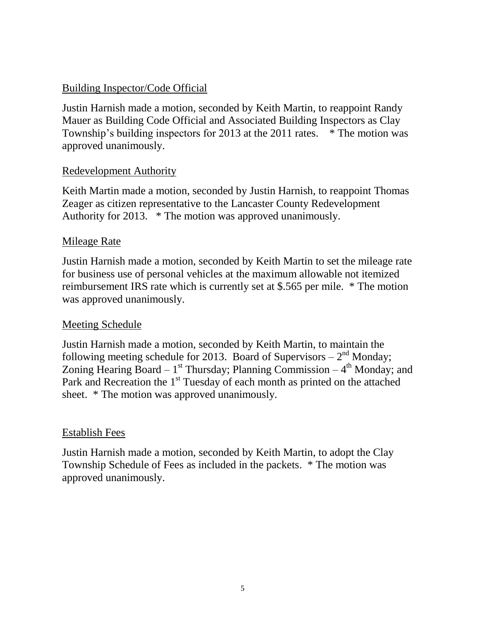# Building Inspector/Code Official

Justin Harnish made a motion, seconded by Keith Martin, to reappoint Randy Mauer as Building Code Official and Associated Building Inspectors as Clay Township's building inspectors for 2013 at the 2011 rates. \* The motion was approved unanimously.

## Redevelopment Authority

Keith Martin made a motion, seconded by Justin Harnish, to reappoint Thomas Zeager as citizen representative to the Lancaster County Redevelopment Authority for 2013. \* The motion was approved unanimously.

#### Mileage Rate

Justin Harnish made a motion, seconded by Keith Martin to set the mileage rate for business use of personal vehicles at the maximum allowable not itemized reimbursement IRS rate which is currently set at \$.565 per mile. \* The motion was approved unanimously.

## Meeting Schedule

Justin Harnish made a motion, seconded by Keith Martin, to maintain the following meeting schedule for 2013. Board of Supervisors  $-2<sup>nd</sup>$  Monday; Zoning Hearing Board –  $1^{st}$  Thursday; Planning Commission –  $4^{th}$  Monday; and Park and Recreation the  $1<sup>st</sup>$  Tuesday of each month as printed on the attached sheet. \* The motion was approved unanimously.

#### Establish Fees

Justin Harnish made a motion, seconded by Keith Martin, to adopt the Clay Township Schedule of Fees as included in the packets. \* The motion was approved unanimously.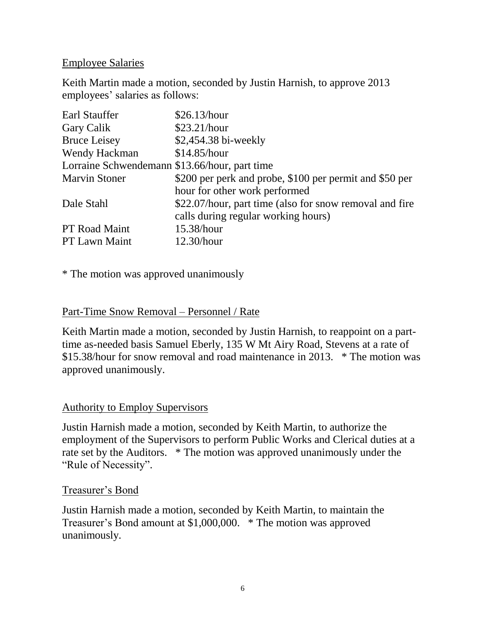### Employee Salaries

Keith Martin made a motion, seconded by Justin Harnish, to approve 2013 employees' salaries as follows:

| Earl Stauffer                                 | \$26.13/hour                                            |
|-----------------------------------------------|---------------------------------------------------------|
| Gary Calik                                    | \$23.21/hour                                            |
| <b>Bruce Leisey</b>                           | \$2,454.38 bi-weekly                                    |
| Wendy Hackman                                 | \$14.85/hour                                            |
| Lorraine Schwendemann \$13.66/hour, part time |                                                         |
| <b>Marvin Stoner</b>                          | \$200 per perk and probe, \$100 per permit and \$50 per |
|                                               | hour for other work performed                           |
| Dale Stahl                                    | \$22.07/hour, part time (also for snow removal and fire |
|                                               | calls during regular working hours)                     |
| <b>PT</b> Road Maint                          | 15.38/hour                                              |
| <b>PT Lawn Maint</b>                          | $12.30/h$ our                                           |

\* The motion was approved unanimously

### Part-Time Snow Removal – Personnel / Rate

Keith Martin made a motion, seconded by Justin Harnish, to reappoint on a parttime as-needed basis Samuel Eberly, 135 W Mt Airy Road, Stevens at a rate of \$15.38/hour for snow removal and road maintenance in 2013. \* The motion was approved unanimously.

#### Authority to Employ Supervisors

Justin Harnish made a motion, seconded by Keith Martin, to authorize the employment of the Supervisors to perform Public Works and Clerical duties at a rate set by the Auditors. \* The motion was approved unanimously under the "Rule of Necessity".

## Treasurer's Bond

Justin Harnish made a motion, seconded by Keith Martin, to maintain the Treasurer's Bond amount at \$1,000,000. \* The motion was approved unanimously.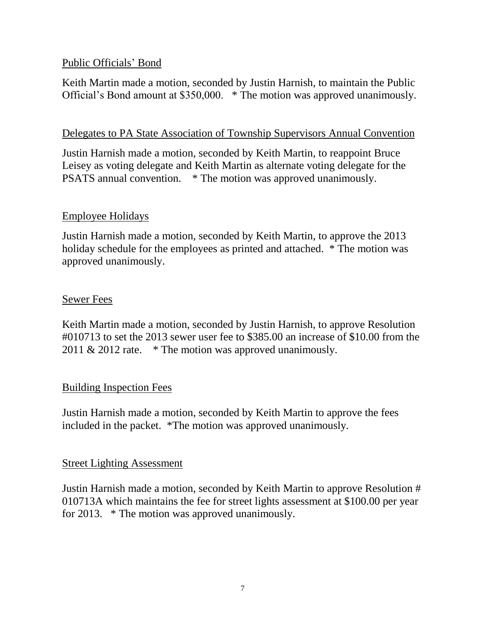## Public Officials' Bond

Keith Martin made a motion, seconded by Justin Harnish, to maintain the Public Official's Bond amount at \$350,000. \* The motion was approved unanimously.

### Delegates to PA State Association of Township Supervisors Annual Convention

Justin Harnish made a motion, seconded by Keith Martin, to reappoint Bruce Leisey as voting delegate and Keith Martin as alternate voting delegate for the PSATS annual convention. \* The motion was approved unanimously.

## Employee Holidays

Justin Harnish made a motion, seconded by Keith Martin, to approve the 2013 holiday schedule for the employees as printed and attached. \* The motion was approved unanimously.

#### Sewer Fees

Keith Martin made a motion, seconded by Justin Harnish, to approve Resolution #010713 to set the 2013 sewer user fee to \$385.00 an increase of \$10.00 from the 2011  $& 2012$  rate.  $*$  The motion was approved unanimously.

## Building Inspection Fees

Justin Harnish made a motion, seconded by Keith Martin to approve the fees included in the packet. \*The motion was approved unanimously.

## Street Lighting Assessment

Justin Harnish made a motion, seconded by Keith Martin to approve Resolution # 010713A which maintains the fee for street lights assessment at \$100.00 per year for 2013. \* The motion was approved unanimously.